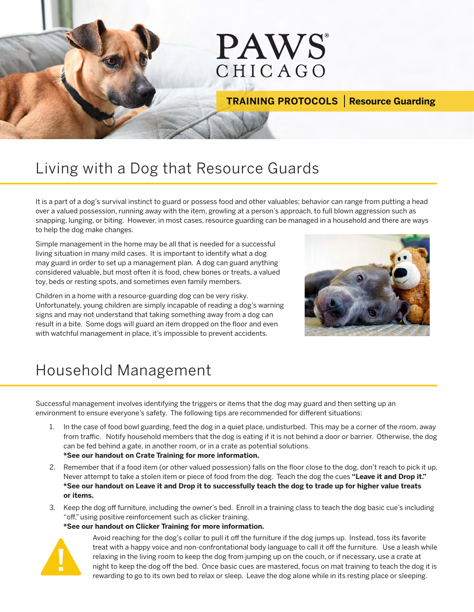# **PAWS** CHICAGO

### **TRAINING PROTOCOLS | Resource Guarding**

### Living with a Dog that Resource Guards

It is a part of a dog's survival instinct to guard or possess food and other valuables; behavior can range from putting a head over a valued possession, running away with the item, growling at a person's approach, to full blown aggression such as snapping, lunging, or biting. However, in most cases, resource guarding can be managed in a household and there are ways to help the dog make changes.

Simple management in the home may be all that is needed for a successful living situation in many mild cases. It is important to identify what a dog may guard in order to set up a management plan. A dog can guard anything considered valuable, but most often it is food, chew bones or treats, a valued toy, beds or resting spots, and sometimes even family members.

Children in a home with a resource-guarding dog can be very risky. Unfortunately, young children are simply incapable of reading a dog's warning signs and may not understand that taking something away from a dog can result in a bite. Some dogs will guard an item dropped on the floor and even with watchful management in place, it's impossible to prevent accidents.



### Household Management

Successful management involves identifying the triggers or items that the dog may guard and then setting up an environment to ensure everyone's safety. The following tips are recommended for different situations:

- 1. In the case of food bowl guarding, feed the dog in a quiet place, undisturbed. This may be a corner of the room, away from traffic. Notify household members that the dog is eating if it is not behind a door or barrier. Otherwise, the dog can be fed behind a gate, in another room, or in a crate as potential solutions. **\*See our handout on Crate Training for more information.**
- 2. Remember that if a food item (or other valued possession) falls on the floor close to the dog, don't reach to pick it up. Never attempt to take a stolen item or piece of food from the dog. Teach the dog the cues **"Leave it and Drop it." \*See our handout on Leave it and Drop it to successfully teach the dog to trade up for higher value treats or items.**
- 3. Keep the dog off furniture, including the owner's bed. Enroll in a training class to teach the dog basic cue's including "off," using positive reinforcement such as clicker training.

#### **\*See our handout on Clicker Training for more information.**



Avoid reaching for the dog's collar to pull it off the furniture if the dog jumps up. Instead, toss its favorite treat with a happy voice and non-confrontational body language to call it off the furniture. Use a leash while relaxing in the living room to keep the dog from jumping up on the couch, or if necessary, use a crate at night to keep the dog off the bed. Once basic cues are mastered, focus on mat training to teach the dog it is rewarding to go to its own bed to relax or sleep. Leave the dog alone while in its resting place or sleeping.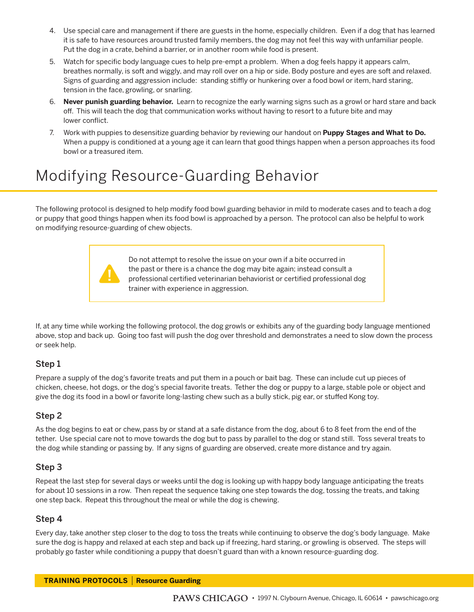- 4. Use special care and management if there are guests in the home, especially children. Even if a dog that has learned it is safe to have resources around trusted family members, the dog may not feel this way with unfamiliar people. Put the dog in a crate, behind a barrier, or in another room while food is present.
- 5. Watch for specific body language cues to help pre-empt a problem. When a dog feels happy it appears calm, breathes normally, is soft and wiggly, and may roll over on a hip or side. Body posture and eyes are soft and relaxed. Signs of guarding and aggression include: standing stiffly or hunkering over a food bowl or item, hard staring, tension in the face, growling, or snarling.
- 6. **Never punish guarding behavior.** Learn to recognize the early warning signs such as a growl or hard stare and back off. This will teach the dog that communication works without having to resort to a future bite and may lower conflict.
- 7. Work with puppies to desensitize guarding behavior by reviewing our handout on **Puppy Stages and What to Do.**  When a puppy is conditioned at a young age it can learn that good things happen when a person approaches its food bowl or a treasured item.

## Modifying Resource-Guarding Behavior

The following protocol is designed to help modify food bowl guarding behavior in mild to moderate cases and to teach a dog or puppy that good things happen when its food bowl is approached by a person. The protocol can also be helpful to work on modifying resource-guarding of chew objects.



Do not attempt to resolve the issue on your own if a bite occurred in the past or there is a chance the dog may bite again; instead consult a professional certified veterinarian behaviorist or certified professional dog trainer with experience in aggression.

If, at any time while working the following protocol, the dog growls or exhibits any of the guarding body language mentioned above, stop and back up. Going too fast will push the dog over threshold and demonstrates a need to slow down the process or seek help.

#### Step 1

Prepare a supply of the dog's favorite treats and put them in a pouch or bait bag. These can include cut up pieces of chicken, cheese, hot dogs, or the dog's special favorite treats. Tether the dog or puppy to a large, stable pole or object and give the dog its food in a bowl or favorite long-lasting chew such as a bully stick, pig ear, or stuffed Kong toy.

#### Step 2

As the dog begins to eat or chew, pass by or stand at a safe distance from the dog, about 6 to 8 feet from the end of the tether. Use special care not to move towards the dog but to pass by parallel to the dog or stand still. Toss several treats to the dog while standing or passing by. If any signs of guarding are observed, create more distance and try again.

#### Step 3

Repeat the last step for several days or weeks until the dog is looking up with happy body language anticipating the treats for about 10 sessions in a row. Then repeat the sequence taking one step towards the dog, tossing the treats, and taking one step back. Repeat this throughout the meal or while the dog is chewing.

#### Step 4

Every day, take another step closer to the dog to toss the treats while continuing to observe the dog's body language. Make sure the dog is happy and relaxed at each step and back up if freezing, hard staring, or growling is observed. The steps will probably go faster while conditioning a puppy that doesn't guard than with a known resource-guarding dog.